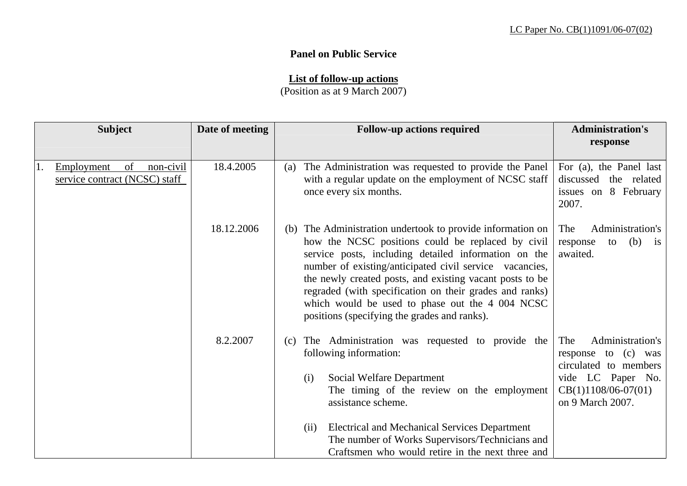## **Panel on Public Service**

## **List of follow-up actions**

(Position as at 9 March 2007)

|    | <b>Subject</b>                                                 | Date of meeting | <b>Follow-up actions required</b>                                                                                                                                                                                                                                                                                                                                                                                                                            | <b>Administration's</b><br>response                                                                                                       |
|----|----------------------------------------------------------------|-----------------|--------------------------------------------------------------------------------------------------------------------------------------------------------------------------------------------------------------------------------------------------------------------------------------------------------------------------------------------------------------------------------------------------------------------------------------------------------------|-------------------------------------------------------------------------------------------------------------------------------------------|
| 1. | of<br>Employment<br>non-civil<br>service contract (NCSC) staff | 18.4.2005       | The Administration was requested to provide the Panel<br>(a)<br>with a regular update on the employment of NCSC staff<br>once every six months.                                                                                                                                                                                                                                                                                                              | For (a), the Panel last<br>discussed the related<br>issues on 8 February<br>2007.                                                         |
|    |                                                                | 18.12.2006      | (b) The Administration undertook to provide information on<br>how the NCSC positions could be replaced by civil<br>service posts, including detailed information on the<br>number of existing/anticipated civil service vacancies,<br>the newly created posts, and existing vacant posts to be<br>regraded (with specification on their grades and ranks)<br>which would be used to phase out the 4 004 NCSC<br>positions (specifying the grades and ranks). | Administration's<br>The<br>(b)<br>response<br>to<br>$\frac{1}{1}$<br>awaited.                                                             |
|    |                                                                | 8.2.2007        | The Administration was requested to provide the<br>(c)<br>following information:<br>Social Welfare Department<br>(i)<br>The timing of the review on the employment<br>assistance scheme.<br><b>Electrical and Mechanical Services Department</b><br>(ii)<br>The number of Works Supervisors/Technicians and<br>Craftsmen who would retire in the next three and                                                                                              | Administration's<br>The<br>response to (c) was<br>circulated to members<br>vide LC Paper No.<br>$CB(1)1108/06-07(01)$<br>on 9 March 2007. |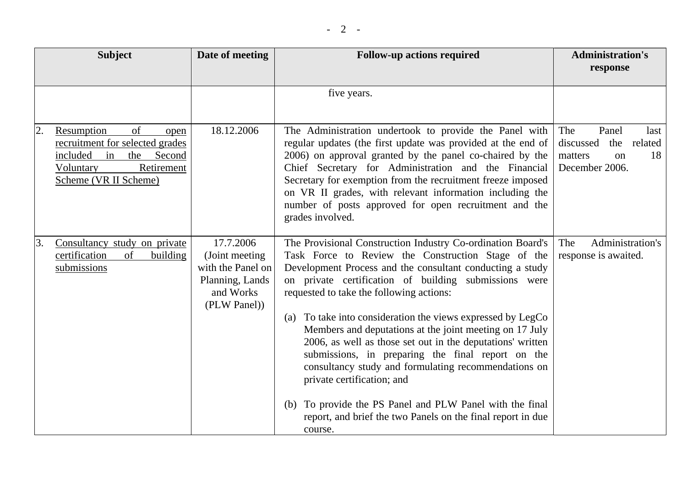|    | <b>Subject</b>                                                                                                                                     | Date of meeting                                                                                   | <b>Follow-up actions required</b>                                                                                                                                                                                                                                                                                                                                                                                                                                                                                                                                                                                                                                                                                                                                  | <b>Administration's</b><br>response                                                                     |
|----|----------------------------------------------------------------------------------------------------------------------------------------------------|---------------------------------------------------------------------------------------------------|--------------------------------------------------------------------------------------------------------------------------------------------------------------------------------------------------------------------------------------------------------------------------------------------------------------------------------------------------------------------------------------------------------------------------------------------------------------------------------------------------------------------------------------------------------------------------------------------------------------------------------------------------------------------------------------------------------------------------------------------------------------------|---------------------------------------------------------------------------------------------------------|
|    |                                                                                                                                                    |                                                                                                   | five years.                                                                                                                                                                                                                                                                                                                                                                                                                                                                                                                                                                                                                                                                                                                                                        |                                                                                                         |
| 2. | Resumption<br>of<br>open<br>recruitment for selected grades<br>included<br>the<br>Second<br>in<br>Retirement<br>Voluntary<br>Scheme (VR II Scheme) | 18.12.2006                                                                                        | The Administration undertook to provide the Panel with<br>regular updates (the first update was provided at the end of<br>2006) on approval granted by the panel co-chaired by the<br>Chief Secretary for Administration and the Financial<br>Secretary for exemption from the recruitment freeze imposed<br>on VR II grades, with relevant information including the<br>number of posts approved for open recruitment and the<br>grades involved.                                                                                                                                                                                                                                                                                                                 | The<br>Panel<br>last<br>discussed<br>related<br>the<br>18<br>matters<br><sub>on</sub><br>December 2006. |
| 3. | Consultancy study on private<br>certification<br>of<br>building<br>submissions                                                                     | 17.7.2006<br>(Joint meeting)<br>with the Panel on<br>Planning, Lands<br>and Works<br>(PLW Panel)) | The Provisional Construction Industry Co-ordination Board's<br>Task Force to Review the Construction Stage of the<br>Development Process and the consultant conducting a study<br>on private certification of building submissions were<br>requested to take the following actions:<br>To take into consideration the views expressed by LegCo<br>(a)<br>Members and deputations at the joint meeting on 17 July<br>2006, as well as those set out in the deputations' written<br>submissions, in preparing the final report on the<br>consultancy study and formulating recommendations on<br>private certification; and<br>To provide the PS Panel and PLW Panel with the final<br>(b)<br>report, and brief the two Panels on the final report in due<br>course. | Administration's<br>The<br>response is awaited.                                                         |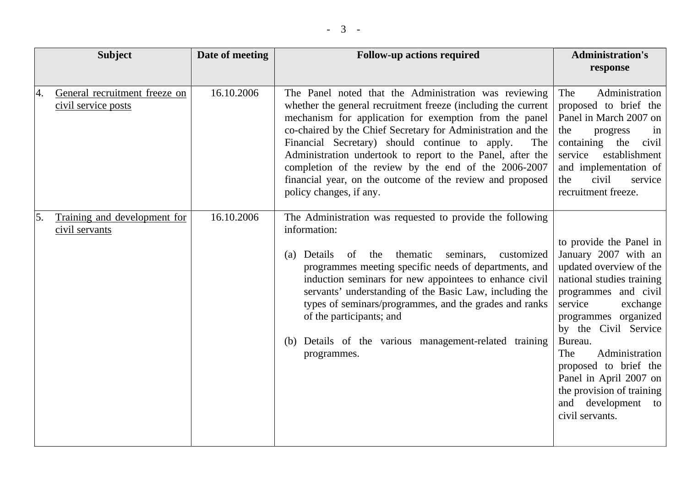|    | <b>Subject</b>                                       | Date of meeting | <b>Follow-up actions required</b>                                                                                                                                                                                                                                                                                                                                                                                                                                                                                       | <b>Administration's</b><br>response                                                                                                                                                                                                                                                                                                                                    |
|----|------------------------------------------------------|-----------------|-------------------------------------------------------------------------------------------------------------------------------------------------------------------------------------------------------------------------------------------------------------------------------------------------------------------------------------------------------------------------------------------------------------------------------------------------------------------------------------------------------------------------|------------------------------------------------------------------------------------------------------------------------------------------------------------------------------------------------------------------------------------------------------------------------------------------------------------------------------------------------------------------------|
| 4. | General recruitment freeze on<br>civil service posts | 16.10.2006      | The Panel noted that the Administration was reviewing<br>whether the general recruitment freeze (including the current<br>mechanism for application for exemption from the panel<br>co-chaired by the Chief Secretary for Administration and the<br>Financial Secretary) should continue to apply.<br>The<br>Administration undertook to report to the Panel, after the<br>completion of the review by the end of the 2006-2007<br>financial year, on the outcome of the review and proposed<br>policy changes, if any. | Administration<br>The<br>proposed to brief the<br>Panel in March 2007 on<br>the<br>progress<br>in<br>containing the<br>civil<br>service<br>establishment<br>and implementation of<br>civil<br>the<br>service<br>recruitment freeze.                                                                                                                                    |
| 5. | Training and development for<br>civil servants       | 16.10.2006      | The Administration was requested to provide the following<br>information:<br>thematic<br>seminars,<br>Details of the<br>customized<br>(a)<br>programmes meeting specific needs of departments, and<br>induction seminars for new appointees to enhance civil<br>servants' understanding of the Basic Law, including the<br>types of seminars/programmes, and the grades and ranks<br>of the participants; and<br>Details of the various management-related training<br>(b)<br>programmes.                               | to provide the Panel in<br>January 2007 with an<br>updated overview of the<br>national studies training<br>programmes and civil<br>service<br>exchange<br>programmes organized<br>by the Civil Service<br>Bureau.<br>Administration<br>The<br>proposed to brief the<br>Panel in April 2007 on<br>the provision of training<br>and development<br>to<br>civil servants. |